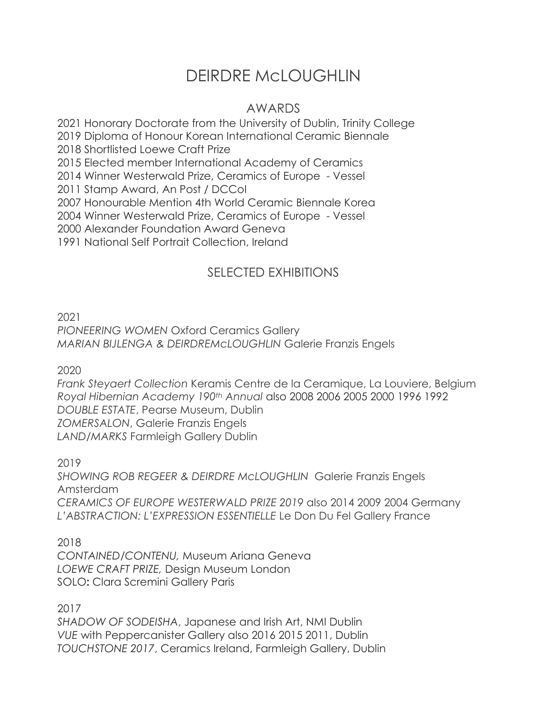## DEIRDRE McLOUGHLIN

## AWARDS

2021 Honorary Doctorate from the University of Dublin, Trinity College

2019 Diploma of Honour Korean International Ceramic Biennale

2018 Shortlisted Loewe Craft Prize

2015 Elected member International Academy of Ceramics

2014 Winner Westerwald Prize, Ceramics of Europe - Vessel

2011 Stamp Award, An Post / DCCoI

2007 Honourable Mention 4th World Ceramic Biennale Korea

2004 Winner Westerwald Prize, Ceramics of Europe - Vessel

2000 Alexander Foundation Award Geneva

1991 National Self Portrait Collection, Ireland

## SELECTED EXHIBITIONS

2021

*PIONEERING WOMEN* Oxford Ceramics Gallery *MARIAN BIJLENGA & DEIRDREMcLOUGHLIN* Galerie Franzis Engels

2020

*Frank Steyaert Collection* Keramis Centre de la Ceramique, La Louviere, Belgium *Royal Hibernian Academy 190th Annual* also 2008 2006 2005 2000 1996 1992 *DOUBLE ESTATE*, Pearse Museum, Dublin *ZOMERSALON*, Galerie Franzis Engels *LAND/MARKS* Farmleigh Gallery Dublin

2019

*SHOWING ROB REGEER & DEIRDRE McLOUGHLIN* Galerie Franzis Engels Amsterdam *CERAMICS OF EUROPE WESTERWALD PRIZE 2019* also 2014 2009 2004 Germany *L'ABSTRACTION: L'EXPRESSION ESSENTIELLE* Le Don Du Fel Gallery France

2018

*CONTAINED/CONTENU,* Museum Ariana Geneva *LOEWE CRAFT PRIZE,* Design Museum London SOLO**:** Clara Scremini Gallery Paris

2017

*SHADOW OF SODEISHA*, Japanese and Irish Art, NMI Dublin *VUE* with Peppercanister Gallery also 2016 2015 2011, Dublin *TOUCHSTONE 2017*, Ceramics Ireland, Farmleigh Gallery, Dublin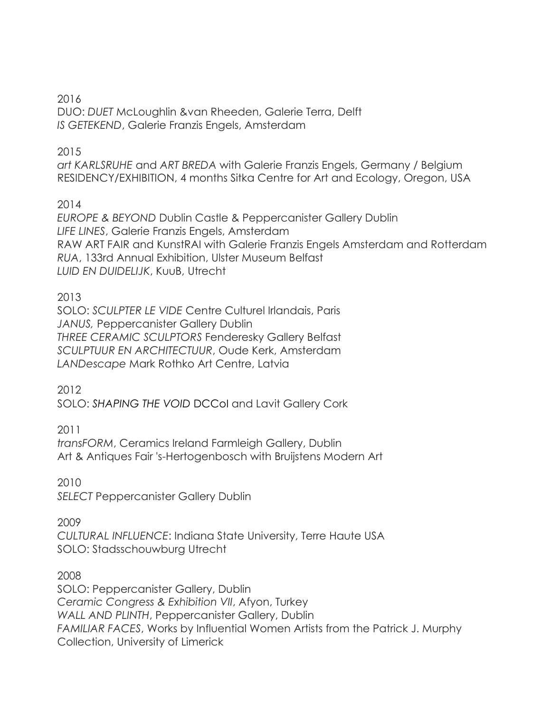2016

DUO: *DUET* McLoughlin &van Rheeden, Galerie Terra, Delft *IS GETEKEND*, Galerie Franzis Engels, Amsterdam

2015

*art KARLSRUHE* and *ART BREDA* with Galerie Franzis Engels, Germany / Belgium RESIDENCY/EXHIBITION, 4 months Sitka Centre for Art and Ecology, Oregon, USA

2014

*EUROPE & BEYOND* Dublin Castle & Peppercanister Gallery Dublin *LIFE LINES*, Galerie Franzis Engels, Amsterdam RAW ART FAIR and KunstRAI with Galerie Franzis Engels Amsterdam and Rotterdam *RUA*, 133rd Annual Exhibition, Ulster Museum Belfast *LUID EN DUIDELIJK*, KuuB, Utrecht

2013

SOLO: *SCULPTER LE VIDE* Centre Culturel Irlandais, Paris *JANUS,* Peppercanister Gallery Dublin *THREE CERAMIC SCULPTORS* Fenderesky Gallery Belfast *SCULPTUUR EN ARCHITECTUUR*, Oude Kerk, Amsterdam *LANDescape* Mark Rothko Art Centre, Latvia

2012

SOLO: *SHAPING THE VOID* DCCoI and Lavit Gallery Cork

2011

*transFORM*, Ceramics Ireland Farmleigh Gallery, Dublin Art & Antiques Fair 's-Hertogenbosch with Bruijstens Modern Art

2010

*SELECT* Peppercanister Gallery Dublin

2009

*CULTURAL INFLUENCE*: Indiana State University, Terre Haute USA SOLO: Stadsschouwburg Utrecht

2008

SOLO: Peppercanister Gallery, Dublin *Ceramic Congress & Exhibition VII*, Afyon, Turkey *WALL AND PLINTH*, Peppercanister Gallery, Dublin *FAMILIAR FACES*, Works by Influential Women Artists from the Patrick J. Murphy Collection, University of Limerick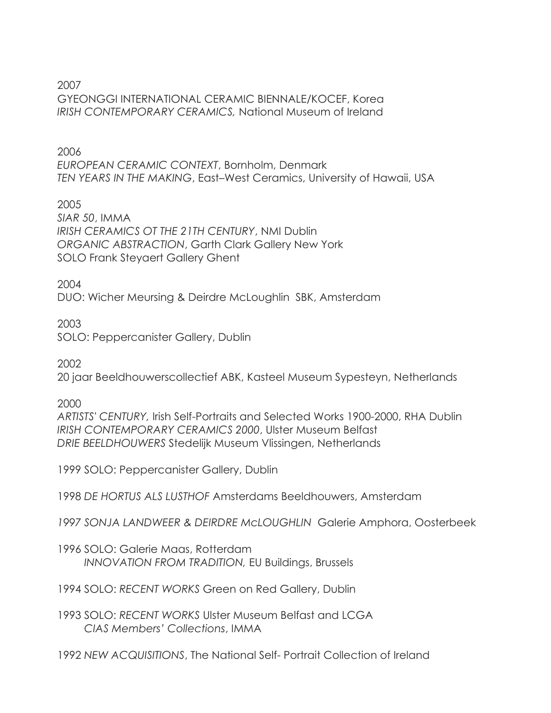2007 GYEONGGI INTERNATIONAL CERAMIC BIENNALE/KOCEF, Korea *IRISH CONTEMPORARY CERAMICS,* National Museum of Ireland

2006 *EUROPEAN CERAMIC CONTEXT*, Bornholm, Denmark *TEN YEARS IN THE MAKING*, East–West Ceramics, University of Hawaii, USA

2005 *SIAR 50*, IMMA *IRISH CERAMICS OT THE 21TH CENTURY*, NMI Dublin *ORGANIC ABSTRACTION*, Garth Clark Gallery New York SOLO Frank Steyaert Gallery Ghent

2004

DUO: Wicher Meursing & Deirdre McLoughlin SBK, Amsterdam

2003

SOLO: Peppercanister Gallery, Dublin

2002

20 jaar Beeldhouwerscollectief ABK, Kasteel Museum Sypesteyn, Netherlands

2000

*ARTISTS' CENTURY,* Irish Self-Portraits and Selected Works 1900-2000, RHA Dublin *IRISH CONTEMPORARY CERAMICS 2000*, Ulster Museum Belfast *DRIE BEELDHOUWERS* Stedelijk Museum Vlissingen, Netherlands

1999 SOLO: Peppercanister Gallery, Dublin

1998 *DE HORTUS ALS LUSTHOF* Amsterdams Beeldhouwers, Amsterdam

*1997 SONJA LANDWEER & DEIRDRE McLOUGHLIN* Galerie Amphora, Oosterbeek

1996 SOLO: Galerie Maas, Rotterdam  *INNOVATION FROM TRADITION,* EU Buildings, Brussels

1994 SOLO: *RECENT WORKS* Green on Red Gallery, Dublin

1993 SOLO: *RECENT WORKS* Ulster Museum Belfast and LCGA *CIAS Members' Collections*, IMMA

1992 *NEW ACQUISITIONS*, The National Self- Portrait Collection of Ireland